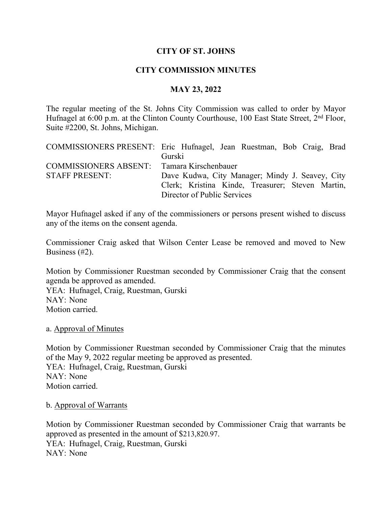# **CITY OF ST. JOHNS**

# **CITY COMMISSION MINUTES**

# **MAY 23, 2022**

The regular meeting of the St. Johns City Commission was called to order by Mayor Hufnagel at 6:00 p.m. at the Clinton County Courthouse, 100 East State Street, 2<sup>nd</sup> Floor, Suite #2200, St. Johns, Michigan.

|                                            | COMMISSIONERS PRESENT: Eric Hufnagel, Jean Ruestman, Bob Craig, Brad |
|--------------------------------------------|----------------------------------------------------------------------|
|                                            | Gurski                                                               |
| COMMISSIONERS ABSENT: Tamara Kirschenbauer |                                                                      |
| <b>STAFF PRESENT:</b>                      | Dave Kudwa, City Manager; Mindy J. Seavey, City                      |
|                                            | Clerk; Kristina Kinde, Treasurer; Steven Martin,                     |
|                                            | Director of Public Services                                          |

Mayor Hufnagel asked if any of the commissioners or persons present wished to discuss any of the items on the consent agenda.

Commissioner Craig asked that Wilson Center Lease be removed and moved to New Business (#2).

Motion by Commissioner Ruestman seconded by Commissioner Craig that the consent agenda be approved as amended.

YEA: Hufnagel, Craig, Ruestman, Gurski NAY: None Motion carried.

a. Approval of Minutes

Motion by Commissioner Ruestman seconded by Commissioner Craig that the minutes of the May 9, 2022 regular meeting be approved as presented. YEA: Hufnagel, Craig, Ruestman, Gurski NAY: None Motion carried.

b. Approval of Warrants

Motion by Commissioner Ruestman seconded by Commissioner Craig that warrants be approved as presented in the amount of \$213,820.97. YEA: Hufnagel, Craig, Ruestman, Gurski NAY: None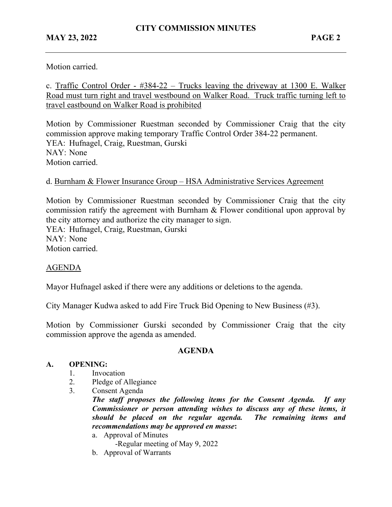Motion carried.

c. Traffic Control Order - #384-22 – Trucks leaving the driveway at 1300 E. Walker Road must turn right and travel westbound on Walker Road. Truck traffic turning left to travel eastbound on Walker Road is prohibited

Motion by Commissioner Ruestman seconded by Commissioner Craig that the city commission approve making temporary Traffic Control Order 384-22 permanent. YEA: Hufnagel, Craig, Ruestman, Gurski NAY: None Motion carried.

## d. Burnham & Flower Insurance Group – HSA Administrative Services Agreement

Motion by Commissioner Ruestman seconded by Commissioner Craig that the city commission ratify the agreement with Burnham & Flower conditional upon approval by the city attorney and authorize the city manager to sign. YEA: Hufnagel, Craig, Ruestman, Gurski NAY: None Motion carried.

### AGENDA

Mayor Hufnagel asked if there were any additions or deletions to the agenda.

City Manager Kudwa asked to add Fire Truck Bid Opening to New Business (#3).

Motion by Commissioner Gurski seconded by Commissioner Craig that the city commission approve the agenda as amended.

### **AGENDA**

#### **A. OPENING:**

- 1. Invocation
- 2. Pledge of Allegiance
- 3. Consent Agenda

*The staff proposes the following items for the Consent Agenda. If any Commissioner or person attending wishes to discuss any of these items, it should be placed on the regular agenda. The remaining items and recommendations may be approved en masse***:**

a. Approval of Minutes

-Regular meeting of May 9, 2022

b. Approval of Warrants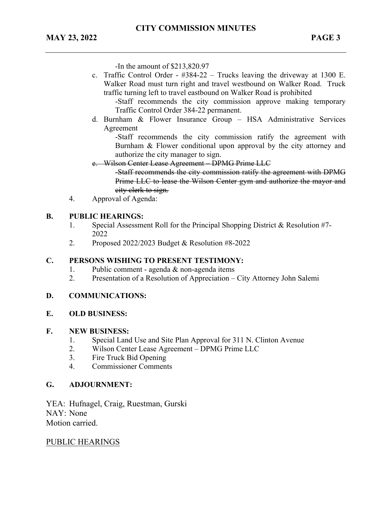-In the amount of \$213,820.97

c. Traffic Control Order - #384-22 – Trucks leaving the driveway at 1300 E. Walker Road must turn right and travel westbound on Walker Road. Truck traffic turning left to travel eastbound on Walker Road is prohibited

-Staff recommends the city commission approve making temporary Traffic Control Order 384-22 permanent.

d. Burnham & Flower Insurance Group – HSA Administrative Services Agreement

-Staff recommends the city commission ratify the agreement with Burnham & Flower conditional upon approval by the city attorney and authorize the city manager to sign.

e. Wilson Center Lease Agreement – DPMG Prime LLC

-Staff recommends the city commission ratify the agreement with DPMG Prime LLC to lease the Wilson Center gym and authorize the mayor and city clerk to sign.

4. Approval of Agenda:

#### **B. PUBLIC HEARINGS:**

- 1. Special Assessment Roll for the Principal Shopping District & Resolution #7- 2022
- 2. Proposed 2022/2023 Budget & Resolution #8-2022

### **C. PERSONS WISHING TO PRESENT TESTIMONY:**

- 1. Public comment agenda & non-agenda items
- 2. Presentation of a Resolution of Appreciation City Attorney John Salemi

#### **D. COMMUNICATIONS:**

#### **E. OLD BUSINESS:**

#### **F. NEW BUSINESS:**

- 1. Special Land Use and Site Plan Approval for 311 N. Clinton Avenue
- 2. Wilson Center Lease Agreement DPMG Prime LLC
- 3. Fire Truck Bid Opening
- 4. Commissioner Comments

### **G. ADJOURNMENT:**

YEA: Hufnagel, Craig, Ruestman, Gurski NAY: None Motion carried.

### PUBLIC HEARINGS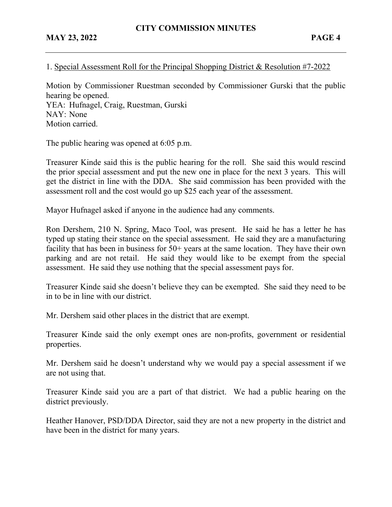# 1. Special Assessment Roll for the Principal Shopping District & Resolution #7-2022

Motion by Commissioner Ruestman seconded by Commissioner Gurski that the public hearing be opened. YEA: Hufnagel, Craig, Ruestman, Gurski NAY: None Motion carried.

The public hearing was opened at 6:05 p.m.

Treasurer Kinde said this is the public hearing for the roll. She said this would rescind the prior special assessment and put the new one in place for the next 3 years. This will get the district in line with the DDA. She said commission has been provided with the assessment roll and the cost would go up \$25 each year of the assessment.

Mayor Hufnagel asked if anyone in the audience had any comments.

Ron Dershem, 210 N. Spring, Maco Tool, was present. He said he has a letter he has typed up stating their stance on the special assessment. He said they are a manufacturing facility that has been in business for 50+ years at the same location. They have their own parking and are not retail. He said they would like to be exempt from the special assessment. He said they use nothing that the special assessment pays for.

Treasurer Kinde said she doesn't believe they can be exempted. She said they need to be in to be in line with our district.

Mr. Dershem said other places in the district that are exempt.

Treasurer Kinde said the only exempt ones are non-profits, government or residential properties.

Mr. Dershem said he doesn't understand why we would pay a special assessment if we are not using that.

Treasurer Kinde said you are a part of that district. We had a public hearing on the district previously.

Heather Hanover, PSD/DDA Director, said they are not a new property in the district and have been in the district for many years.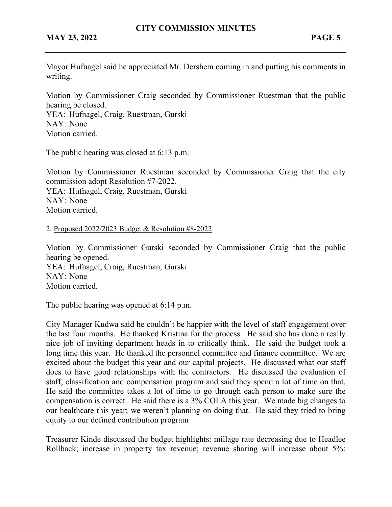Mayor Hufnagel said he appreciated Mr. Dershem coming in and putting his comments in writing.

Motion by Commissioner Craig seconded by Commissioner Ruestman that the public hearing be closed.

YEA: Hufnagel, Craig, Ruestman, Gurski NAY: None Motion carried.

The public hearing was closed at 6:13 p.m.

Motion by Commissioner Ruestman seconded by Commissioner Craig that the city commission adopt Resolution #7-2022. YEA: Hufnagel, Craig, Ruestman, Gurski NAY: None Motion carried.

### 2. Proposed 2022/2023 Budget & Resolution #8-2022

Motion by Commissioner Gurski seconded by Commissioner Craig that the public hearing be opened. YEA: Hufnagel, Craig, Ruestman, Gurski NAY: None Motion carried.

The public hearing was opened at 6:14 p.m.

City Manager Kudwa said he couldn't be happier with the level of staff engagement over the last four months. He thanked Kristina for the process. He said she has done a really nice job of inviting department heads in to critically think. He said the budget took a long time this year. He thanked the personnel committee and finance committee. We are excited about the budget this year and our capital projects. He discussed what our staff does to have good relationships with the contractors. He discussed the evaluation of staff, classification and compensation program and said they spend a lot of time on that. He said the committee takes a lot of time to go through each person to make sure the compensation is correct. He said there is a 3% COLA this year. We made big changes to our healthcare this year; we weren't planning on doing that. He said they tried to bring equity to our defined contribution program

Treasurer Kinde discussed the budget highlights: millage rate decreasing due to Headlee Rollback; increase in property tax revenue; revenue sharing will increase about 5%;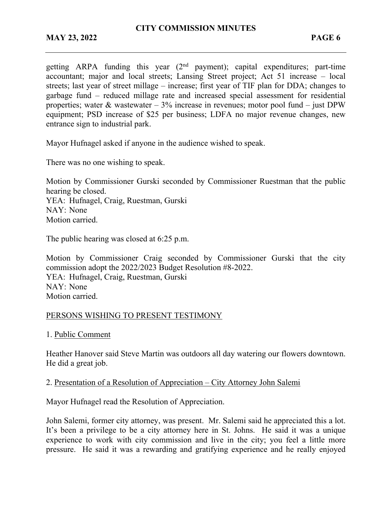getting ARPA funding this year  $(2<sup>nd</sup>$  payment); capital expenditures; part-time accountant; major and local streets; Lansing Street project; Act 51 increase – local streets; last year of street millage – increase; first year of TIF plan for DDA; changes to garbage fund – reduced millage rate and increased special assessment for residential properties; water  $\&$  wastewater – 3% increase in revenues; motor pool fund – just DPW equipment; PSD increase of \$25 per business; LDFA no major revenue changes, new entrance sign to industrial park.

Mayor Hufnagel asked if anyone in the audience wished to speak.

There was no one wishing to speak.

Motion by Commissioner Gurski seconded by Commissioner Ruestman that the public hearing be closed. YEA: Hufnagel, Craig, Ruestman, Gurski NAY: None

Motion carried.

The public hearing was closed at 6:25 p.m.

Motion by Commissioner Craig seconded by Commissioner Gurski that the city commission adopt the 2022/2023 Budget Resolution #8-2022. YEA: Hufnagel, Craig, Ruestman, Gurski NAY: None Motion carried.

# PERSONS WISHING TO PRESENT TESTIMONY

1. Public Comment

Heather Hanover said Steve Martin was outdoors all day watering our flowers downtown. He did a great job.

### 2. Presentation of a Resolution of Appreciation – City Attorney John Salemi

Mayor Hufnagel read the Resolution of Appreciation.

John Salemi, former city attorney, was present. Mr. Salemi said he appreciated this a lot. It's been a privilege to be a city attorney here in St. Johns. He said it was a unique experience to work with city commission and live in the city; you feel a little more pressure. He said it was a rewarding and gratifying experience and he really enjoyed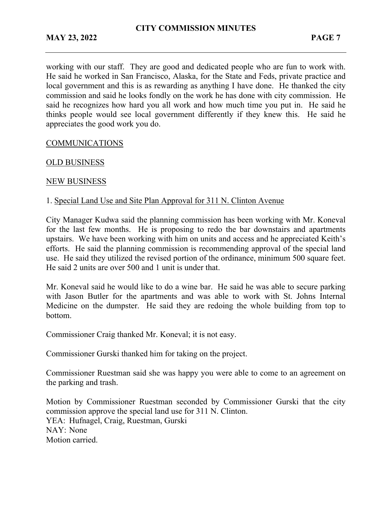working with our staff. They are good and dedicated people who are fun to work with. He said he worked in San Francisco, Alaska, for the State and Feds, private practice and local government and this is as rewarding as anything I have done. He thanked the city commission and said he looks fondly on the work he has done with city commission. He said he recognizes how hard you all work and how much time you put in. He said he thinks people would see local government differently if they knew this. He said he appreciates the good work you do.

# COMMUNICATIONS

## OLD BUSINESS

## NEW BUSINESS

## 1. Special Land Use and Site Plan Approval for 311 N. Clinton Avenue

City Manager Kudwa said the planning commission has been working with Mr. Koneval for the last few months. He is proposing to redo the bar downstairs and apartments upstairs. We have been working with him on units and access and he appreciated Keith's efforts. He said the planning commission is recommending approval of the special land use. He said they utilized the revised portion of the ordinance, minimum 500 square feet. He said 2 units are over 500 and 1 unit is under that.

Mr. Koneval said he would like to do a wine bar. He said he was able to secure parking with Jason Butler for the apartments and was able to work with St. Johns Internal Medicine on the dumpster. He said they are redoing the whole building from top to bottom.

Commissioner Craig thanked Mr. Koneval; it is not easy.

Commissioner Gurski thanked him for taking on the project.

Commissioner Ruestman said she was happy you were able to come to an agreement on the parking and trash.

Motion by Commissioner Ruestman seconded by Commissioner Gurski that the city commission approve the special land use for 311 N. Clinton. YEA: Hufnagel, Craig, Ruestman, Gurski NAY: None Motion carried.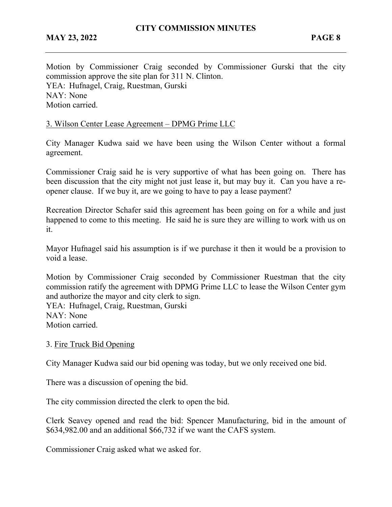Motion by Commissioner Craig seconded by Commissioner Gurski that the city commission approve the site plan for 311 N. Clinton. YEA: Hufnagel, Craig, Ruestman, Gurski NAY: None Motion carried.

## 3. Wilson Center Lease Agreement – DPMG Prime LLC

City Manager Kudwa said we have been using the Wilson Center without a formal agreement.

Commissioner Craig said he is very supportive of what has been going on. There has been discussion that the city might not just lease it, but may buy it. Can you have a reopener clause. If we buy it, are we going to have to pay a lease payment?

Recreation Director Schafer said this agreement has been going on for a while and just happened to come to this meeting. He said he is sure they are willing to work with us on it.

Mayor Hufnagel said his assumption is if we purchase it then it would be a provision to void a lease.

Motion by Commissioner Craig seconded by Commissioner Ruestman that the city commission ratify the agreement with DPMG Prime LLC to lease the Wilson Center gym and authorize the mayor and city clerk to sign.

YEA: Hufnagel, Craig, Ruestman, Gurski NAY: None Motion carried.

### 3. Fire Truck Bid Opening

City Manager Kudwa said our bid opening was today, but we only received one bid.

There was a discussion of opening the bid.

The city commission directed the clerk to open the bid.

Clerk Seavey opened and read the bid: Spencer Manufacturing, bid in the amount of \$634,982.00 and an additional \$66,732 if we want the CAFS system.

Commissioner Craig asked what we asked for.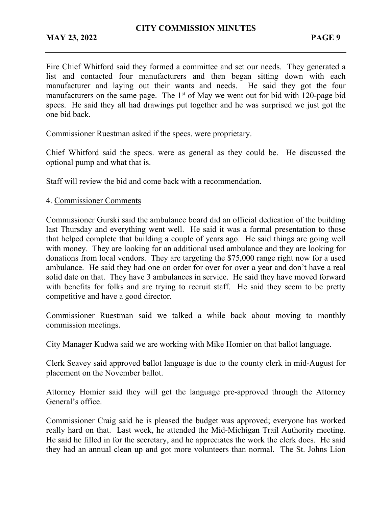Fire Chief Whitford said they formed a committee and set our needs. They generated a list and contacted four manufacturers and then began sitting down with each manufacturer and laying out their wants and needs. He said they got the four manufacturers on the same page. The 1<sup>st</sup> of May we went out for bid with 120-page bid specs. He said they all had drawings put together and he was surprised we just got the one bid back.

Commissioner Ruestman asked if the specs. were proprietary.

Chief Whitford said the specs. were as general as they could be. He discussed the optional pump and what that is.

Staff will review the bid and come back with a recommendation.

### 4. Commissioner Comments

Commissioner Gurski said the ambulance board did an official dedication of the building last Thursday and everything went well. He said it was a formal presentation to those that helped complete that building a couple of years ago. He said things are going well with money. They are looking for an additional used ambulance and they are looking for donations from local vendors. They are targeting the \$75,000 range right now for a used ambulance. He said they had one on order for over for over a year and don't have a real solid date on that. They have 3 ambulances in service. He said they have moved forward with benefits for folks and are trying to recruit staff. He said they seem to be pretty competitive and have a good director.

Commissioner Ruestman said we talked a while back about moving to monthly commission meetings.

City Manager Kudwa said we are working with Mike Homier on that ballot language.

Clerk Seavey said approved ballot language is due to the county clerk in mid-August for placement on the November ballot.

Attorney Homier said they will get the language pre-approved through the Attorney General's office.

Commissioner Craig said he is pleased the budget was approved; everyone has worked really hard on that. Last week, he attended the Mid-Michigan Trail Authority meeting. He said he filled in for the secretary, and he appreciates the work the clerk does. He said they had an annual clean up and got more volunteers than normal. The St. Johns Lion